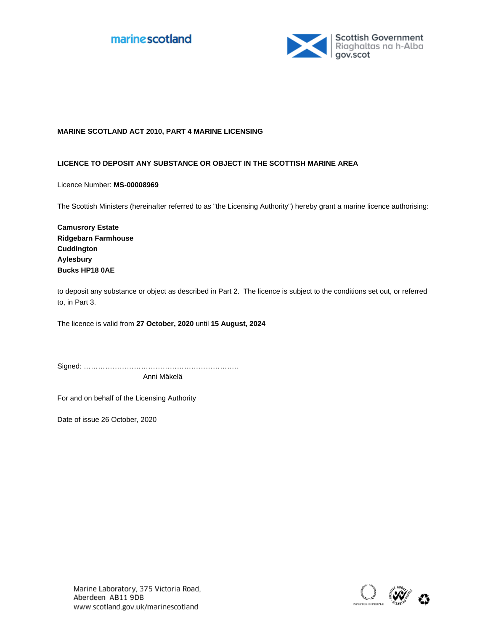



## **MARINE SCOTLAND ACT 2010, PART 4 MARINE LICENSING**

## **LICENCE TO DEPOSIT ANY SUBSTANCE OR OBJECT IN THE SCOTTISH MARINE AREA**

Licence Number: **MS-00008969**

The Scottish Ministers (hereinafter referred to as "the Licensing Authority") hereby grant a marine licence authorising:

**Camusrory Estate Ridgebarn Farmhouse Cuddington Aylesbury Bucks HP18 0AE**

to deposit any substance or object as described in Part 2. The licence is subject to the conditions set out, or referred to, in Part 3.

The licence is valid from 27 October, 2020 until 15 August, 2024

Signed: ……………………………………………………….. Anni Mäkelä

For and on behalf of the Licensing Authority

Date of issue 26 October, 2020

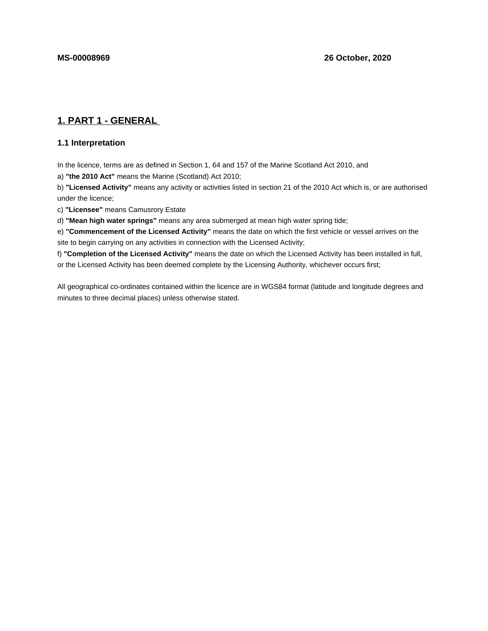# **1. PART 1 - GENERAL**

## **1.1 Interpretation**

In the licence, terms are as defined in Section 1, 64 and 157 of the Marine Scotland Act 2010, and

a) **"the 2010 Act"** means the Marine (Scotland) Act 2010;

b) **"Licensed Activity"** means any activity or activities listed in section 21 of the 2010 Act which is, or are authorised under the licence;

c) **"Licensee"** means Camusrory Estate

d) **"Mean high water springs"** means any area submerged at mean high water spring tide;

e) **"Commencement of the Licensed Activity"** means the date on which the first vehicle or vessel arrives on the site to begin carrying on any activities in connection with the Licensed Activity;

f) **"Completion of the Licensed Activity"** means the date on which the Licensed Activity has been installed in full, or the Licensed Activity has been deemed complete by the Licensing Authority, whichever occurs first;

All geographical co-ordinates contained within the licence are in WGS84 format (latitude and longitude degrees and minutes to three decimal places) unless otherwise stated.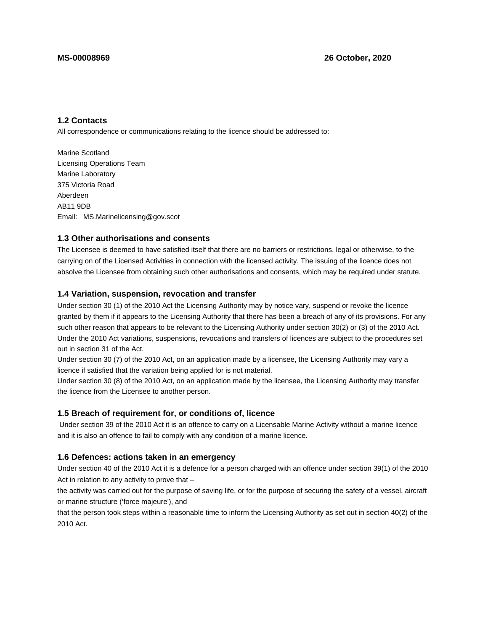## **1.2 Contacts**

All correspondence or communications relating to the licence should be addressed to:

Marine Scotland Licensing Operations Team Marine Laboratory 375 Victoria Road Aberdeen AB11 9DB Email: MS.Marinelicensing@gov.scot

## **1.3 Other authorisations and consents**

The Licensee is deemed to have satisfied itself that there are no barriers or restrictions, legal or otherwise, to the carrying on of the Licensed Activities in connection with the licensed activity. The issuing of the licence does not absolve the Licensee from obtaining such other authorisations and consents, which may be required under statute.

### **1.4 Variation, suspension, revocation and transfer**

Under section 30 (1) of the 2010 Act the Licensing Authority may by notice vary, suspend or revoke the licence granted by them if it appears to the Licensing Authority that there has been a breach of any of its provisions. For any such other reason that appears to be relevant to the Licensing Authority under section 30(2) or (3) of the 2010 Act. Under the 2010 Act variations, suspensions, revocations and transfers of licences are subject to the procedures set out in section 31 of the Act.

Under section 30 (7) of the 2010 Act, on an application made by a licensee, the Licensing Authority may vary a licence if satisfied that the variation being applied for is not material.

Under section 30 (8) of the 2010 Act, on an application made by the licensee, the Licensing Authority may transfer the licence from the Licensee to another person.

## **1.5 Breach of requirement for, or conditions of, licence**

 Under section 39 of the 2010 Act it is an offence to carry on a Licensable Marine Activity without a marine licence and it is also an offence to fail to comply with any condition of a marine licence.

#### **1.6 Defences: actions taken in an emergency**

Under section 40 of the 2010 Act it is a defence for a person charged with an offence under section 39(1) of the 2010 Act in relation to any activity to prove that –

the activity was carried out for the purpose of saving life, or for the purpose of securing the safety of a vessel, aircraft or marine structure ('force majeure'), and

that the person took steps within a reasonable time to inform the Licensing Authority as set out in section 40(2) of the 2010 Act.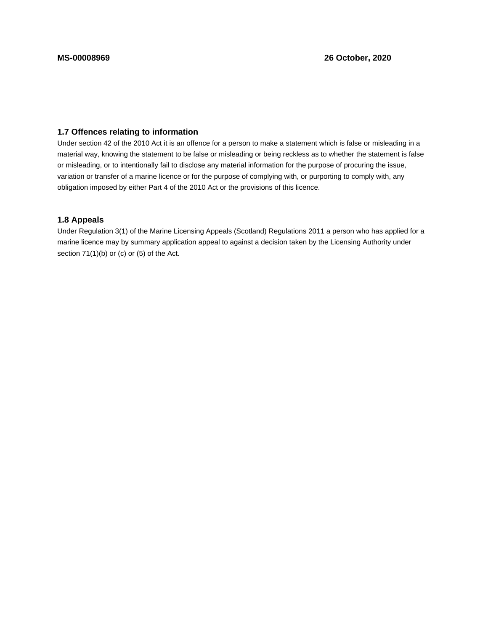# **1.7 Offences relating to information**

Under section 42 of the 2010 Act it is an offence for a person to make a statement which is false or misleading in a material way, knowing the statement to be false or misleading or being reckless as to whether the statement is false or misleading, or to intentionally fail to disclose any material information for the purpose of procuring the issue, variation or transfer of a marine licence or for the purpose of complying with, or purporting to comply with, any obligation imposed by either Part 4 of the 2010 Act or the provisions of this licence.

## **1.8 Appeals**

Under Regulation 3(1) of the Marine Licensing Appeals (Scotland) Regulations 2011 a person who has applied for a marine licence may by summary application appeal to against a decision taken by the Licensing Authority under section 71(1)(b) or (c) or (5) of the Act.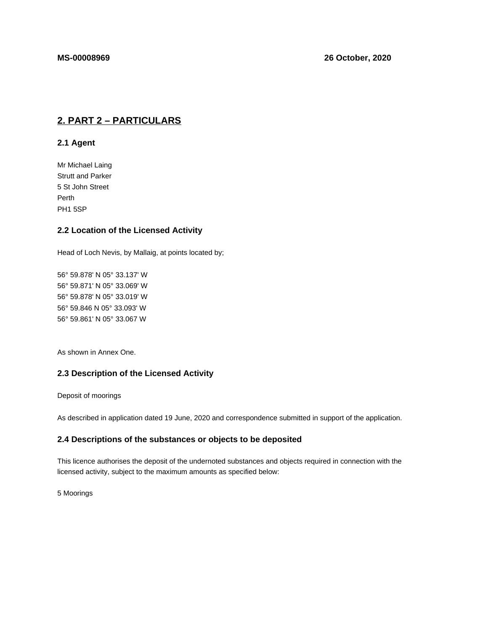# **2. PART 2 – PARTICULARS**

## **2.1 Agent**

Mr Michael Laing Strutt and Parker 5 St John Street Perth PH1 5SP

## **2.2 Location of the Licensed Activity**

Head of Loch Nevis, by Mallaig, at points located by;

56° 59.878' N 05° 33.137' W 56° 59.871' N 05° 33.069' W 56° 59.878' N 05° 33.019' W 56° 59.846 N 05° 33.093' W 56° 59.861' N 05° 33.067 W

As shown in Annex One.

## **2.3 Description of the Licensed Activity**

Deposit of moorings

As described in application dated 19 June, 2020 and correspondence submitted in support of the application.

## **2.4 Descriptions of the substances or objects to be deposited**

This licence authorises the deposit of the undernoted substances and objects required in connection with the licensed activity, subject to the maximum amounts as specified below:

5 Moorings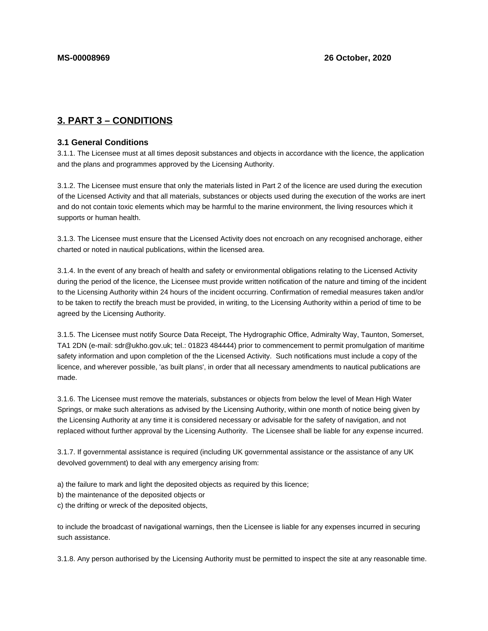# **3. PART 3 – CONDITIONS**

## **3.1 General Conditions**

3.1.1. The Licensee must at all times deposit substances and objects in accordance with the licence, the application and the plans and programmes approved by the Licensing Authority.

3.1.2. The Licensee must ensure that only the materials listed in Part 2 of the licence are used during the execution of the Licensed Activity and that all materials, substances or objects used during the execution of the works are inert and do not contain toxic elements which may be harmful to the marine environment, the living resources which it supports or human health.

3.1.3. The Licensee must ensure that the Licensed Activity does not encroach on any recognised anchorage, either charted or noted in nautical publications, within the licensed area.

3.1.4. In the event of any breach of health and safety or environmental obligations relating to the Licensed Activity during the period of the licence, the Licensee must provide written notification of the nature and timing of the incident to the Licensing Authority within 24 hours of the incident occurring. Confirmation of remedial measures taken and/or to be taken to rectify the breach must be provided, in writing, to the Licensing Authority within a period of time to be agreed by the Licensing Authority.

3.1.5. The Licensee must notify Source Data Receipt, The Hydrographic Office, Admiralty Way, Taunton, Somerset, TA1 2DN (e-mail: sdr@ukho.gov.uk; tel.: 01823 484444) prior to commencement to permit promulgation of maritime safety information and upon completion of the the Licensed Activity. Such notifications must include a copy of the licence, and wherever possible, 'as built plans', in order that all necessary amendments to nautical publications are made.

3.1.6. The Licensee must remove the materials, substances or objects from below the level of Mean High Water Springs, or make such alterations as advised by the Licensing Authority, within one month of notice being given by the Licensing Authority at any time it is considered necessary or advisable for the safety of navigation, and not replaced without further approval by the Licensing Authority. The Licensee shall be liable for any expense incurred.

3.1.7. If governmental assistance is required (including UK governmental assistance or the assistance of any UK devolved government) to deal with any emergency arising from:

- a) the failure to mark and light the deposited objects as required by this licence;
- b) the maintenance of the deposited objects or
- c) the drifting or wreck of the deposited objects,

to include the broadcast of navigational warnings, then the Licensee is liable for any expenses incurred in securing such assistance.

3.1.8. Any person authorised by the Licensing Authority must be permitted to inspect the site at any reasonable time.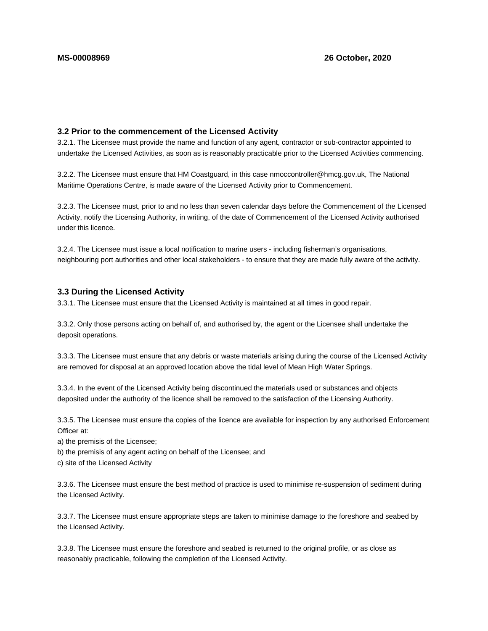## **3.2 Prior to the commencement of the Licensed Activity**

3.2.1. The Licensee must provide the name and function of any agent, contractor or sub-contractor appointed to undertake the Licensed Activities, as soon as is reasonably practicable prior to the Licensed Activities commencing.

3.2.2. The Licensee must ensure that HM Coastguard, in this case nmoccontroller@hmcg.gov.uk, The National Maritime Operations Centre, is made aware of the Licensed Activity prior to Commencement.

3.2.3. The Licensee must, prior to and no less than seven calendar days before the Commencement of the Licensed Activity, notify the Licensing Authority, in writing, of the date of Commencement of the Licensed Activity authorised under this licence.

3.2.4. The Licensee must issue a local notification to marine users - including fisherman's organisations, neighbouring port authorities and other local stakeholders - to ensure that they are made fully aware of the activity.

#### **3.3 During the Licensed Activity**

3.3.1. The Licensee must ensure that the Licensed Activity is maintained at all times in good repair.

3.3.2. Only those persons acting on behalf of, and authorised by, the agent or the Licensee shall undertake the deposit operations.

3.3.3. The Licensee must ensure that any debris or waste materials arising during the course of the Licensed Activity are removed for disposal at an approved location above the tidal level of Mean High Water Springs.

3.3.4. In the event of the Licensed Activity being discontinued the materials used or substances and objects deposited under the authority of the licence shall be removed to the satisfaction of the Licensing Authority.

3.3.5. The Licensee must ensure tha copies of the licence are available for inspection by any authorised Enforcement Officer at:

a) the premisis of the Licensee;

b) the premisis of any agent acting on behalf of the Licensee; and

c) site of the Licensed Activity

3.3.6. The Licensee must ensure the best method of practice is used to minimise re-suspension of sediment during the Licensed Activity.

3.3.7. The Licensee must ensure appropriate steps are taken to minimise damage to the foreshore and seabed by the Licensed Activity.

3.3.8. The Licensee must ensure the foreshore and seabed is returned to the original profile, or as close as reasonably practicable, following the completion of the Licensed Activity.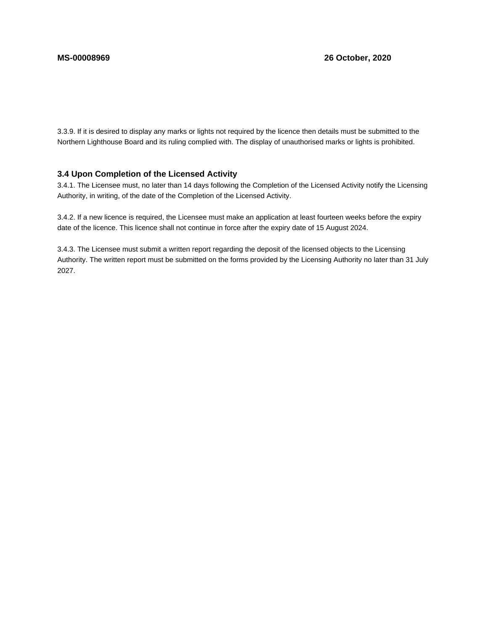3.3.9. If it is desired to display any marks or lights not required by the licence then details must be submitted to the Northern Lighthouse Board and its ruling complied with. The display of unauthorised marks or lights is prohibited.

## **3.4 Upon Completion of the Licensed Activity**

3.4.1. The Licensee must, no later than 14 days following the Completion of the Licensed Activity notify the Licensing Authority, in writing, of the date of the Completion of the Licensed Activity.

3.4.2. If a new licence is required, the Licensee must make an application at least fourteen weeks before the expiry date of the licence. This licence shall not continue in force after the expiry date of 15 August 2024.

3.4.3. The Licensee must submit a written report regarding the deposit of the licensed objects to the Licensing Authority. The written report must be submitted on the forms provided by the Licensing Authority no later than 31 July 2027.